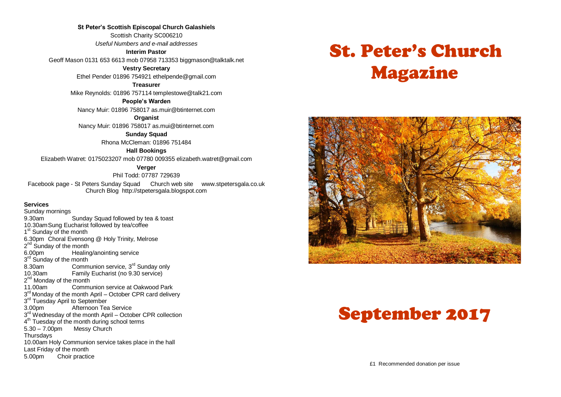**St Peter's Scottish Episcopal Church Galashiels** Scottish Charity SC006210 *Useful Numbers and e-mail addresses*

**Interim Pastor**

Geoff Mason 0131 653 6613 mob 07958 713353 biggmason@talktalk.net

**Vestry Secretary**

Ethel Pender 01896 754921 ethelpende@gmail.com

**Treasurer**

Mike Reynolds: 01896 757114 templestowe@talk21.com

**People's Warden**

Nancy Muir: 01896 758017 as.muir@btinternet.com

**Organist**

Nancy Muir: 01896 758017 as.mui@btinternet.com

**Sunday Squad** Rhona McCleman: 01896 751484

**Hall Bookings**

Elizabeth Watret: 0175023207 mob 07780 009355 elizabeth.watret@gmail.com

**Verger**

Phil Todd: 07787 729639

Facebook page - St Peters Sunday Squad Church web site www.stpetersgala.co.uk Church Blog [http://stpetersgala.blogspot.com](http://stpetersgala.blogspot.com/)

#### **Services**

Sunday mornings 9.30am Sunday Squad followed by tea & toast 10.30amSung Eucharist followed by tea/coffee 1<sup>st</sup> Sunday of the month 6.30pm Choral Evensong @ Holy Trinity, Melrose 2<sup>nd</sup> Sunday of the month 6.00pm Healing/anointing service 3<sup>rd</sup> Sunday of the month 8.30am Communion service,  $3^{rd}$  Sunday only<br>10.30am Eamily Fucharist (no 9.30 service) Family Eucharist (no 9.30 service) 2<sup>nd</sup> Monday of the month 11.00am Communion service at Oakwood Park 3<sup>rd</sup> Monday of the month April – October CPR card delivery 3<sup>rd</sup> Tuesday April to September 3.00pm Afternoon Tea Service 3<sup>rd</sup> Wednesday of the month April – October CPR collection 4<sup>th</sup> Tuesday of the month during school terms 5.30 – 7.00pm Messy Church **Thursdays** 10.00am Holy Communion service takes place in the hall Last Friday of the month 5.00pm Choir practice

# St. Peter's Church Magazine



# September 2017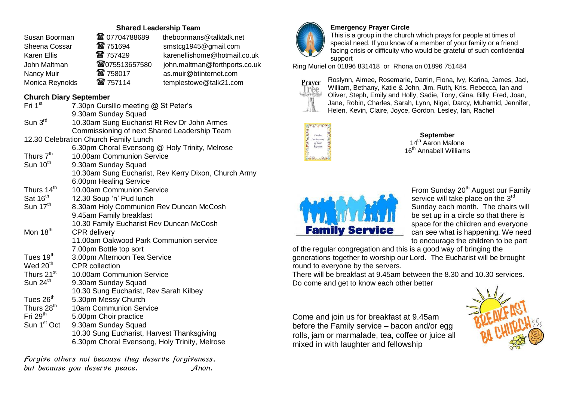# **Shared Leadership Team**

| Susan Boorman      | <b>@</b> 07704788689 | theboormans@talktalk.net      |
|--------------------|----------------------|-------------------------------|
| Sheena Cossar      | 雷 751694             | smstcg1945@gmail.com          |
| <b>Karen Ellis</b> | ☎ 757429             | karenellishome@hotmail.co.uk  |
| John Maltman       | <b>窗075513657580</b> | john.maltman@forthports.co.uk |
| Nancy Muir         | ☎ 758017             | as.muir@btinternet.com        |
| Monica Reynolds    | 雷 757114             | templestowe@talk21.com        |

# **Church Diary September**

| Fri 1 <sup>st</sup>     | 7.30pn Cursillo meeting @ St Peter's                 |
|-------------------------|------------------------------------------------------|
|                         | 9.30am Sunday Squad                                  |
| Sun 3rd                 | 10.30am Sung Eucharist Rt Rev Dr John Armes          |
|                         | Commissioning of next Shared Leadership Team         |
|                         | 12.30 Celebration Church Family Lunch                |
|                         | 6.30pm Choral Evensong @ Holy Trinity, Melrose       |
| Thurs 7 <sup>th</sup>   | 10.00am Communion Service                            |
| Sun 10 <sup>th</sup>    | 9.30am Sunday Squad                                  |
|                         | 10.30am Sung Eucharist, Rev Kerry Dixon, Church Army |
|                         | 6.00pm Healing Service                               |
| Thurs 14 <sup>th</sup>  | 10.00am Communion Service                            |
| Sat 16 <sup>th</sup>    | 12.30 Soup 'n' Pud lunch                             |
| Sun 17 <sup>th</sup>    | 8.30am Holy Communion Rev Duncan McCosh              |
|                         | 9.45am Family breakfast                              |
|                         | 10.30 Family Eucharist Rev Duncan McCosh             |
| Mon 18 <sup>th</sup>    | <b>CPR</b> delivery                                  |
|                         | 11.00am Oakwood Park Communion service               |
|                         | 7.00pm Bottle top sort                               |
| Tues 19 <sup>th</sup>   | 3.00pm Afternoon Tea Service                         |
| Wed 20 <sup>th</sup>    | <b>CPR</b> collection                                |
| Thurs 21 <sup>st</sup>  | 10.00am Communion Service                            |
| Sun 24 <sup>th</sup>    | 9.30am Sunday Squad                                  |
|                         | 10.30 Sung Eucharist, Rev Sarah Kilbey               |
| Tues $26th$             | 5.30pm Messy Church                                  |
| Thurs 28 <sup>th</sup>  | <b>10am Communion Service</b>                        |
| Fri $29th$              | 5.00pm Choir practice                                |
| Sun 1 <sup>st</sup> Oct | 9.30am Sunday Squad                                  |
|                         | 10.30 Sung Eucharist, Harvest Thanksgiving           |
|                         | 6.30pm Choral Evensong, Holy Trinity, Melrose        |
|                         |                                                      |

Forgive others not because they deserve forgiveness, but because you deserve peace. Anon.



## **Emergency Prayer Circle**

This is a group in the church which prays for people at times of special need. If you know of a member of your family or a friend facing crisis or difficulty who would be grateful of such confidential support

Ring Muriel on 01896 831418 or Rhona on 01896 751484



Roslynn, Aimee, Rosemarie, Darrin, Fiona, Ivy, Karina, James, Jaci, William, Bethany, Katie & John, Jim, Ruth, Kris, Rebecca, Ian and Oliver, Steph, Emily and Holly, Sadie, Tony, Gina, Billy, Fred, Joan, Jane, Robin, Charles, Sarah, Lynn, Nigel, Darcy, Muhamid, Jennifer, Helen, Kevin, Claire, Joyce, Gordon. Lesley, Ian, Rachel



#### **September** 14<sup>th</sup> Aaron Malone 16<sup>th</sup> Annabell Williams



From Sunday 20<sup>th</sup> August our Family service will take place on the 3<sup>rd</sup> Sunday each month. The chairs will be set up in a circle so that there is space for the children and everyone can see what is happening. We need to encourage the children to be part

of the regular congregation and this is a good way of bringing the generations together to worship our Lord. The Eucharist will be brought round to everyone by the servers.

There will be breakfast at 9.45am between the 8.30 and 10.30 services. Do come and get to know each other better

Come and join us for breakfast at 9.45am before the Family service – bacon and/or egg rolls, jam or marmalade, tea, coffee or juice all mixed in with laughter and fellowship

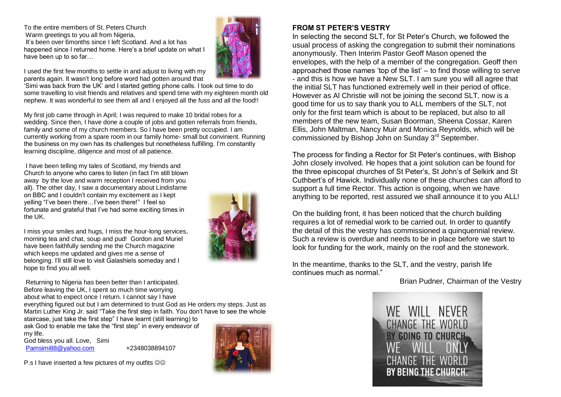To the entire members of St. Peters Church Warm greetings to you all from Nigeria. It's been over 6months since I left Scotland. And a lot has happened since I returned home. Here's a brief update on what I have been up to so far…



I used the first few months to settle in and adjust to living with my parents again. It wasn't long before word had gotten around that

'Simi was back from the UK' and I started getting phone calls. I took out time to do some travelling to visit friends and relatives and spend time with my eighteen month old nephew. It was wonderful to see them all and I enjoyed all the fuss and all the food!!

My first job came through in April; I was required to make 10 bridal robes for a wedding. Since then, I have done a couple of jobs and gotten referrals from friends, family and some of my church members. So I have been pretty occupied. I am currently working from a spare room in our family home- small but convinient. Running the business on my own has its challenges but nonetheless fulfilling. I'm constantly learning discipline, diligence and most of all patience.

I have been telling my tales of Scotland, my friends and Church to anyone who cares to listen (in fact I'm still blown away by the love and warm reception I received from you all). The other day, I saw a documentary about Lindisfarne on BBC and I couldn't contain my excitement as I kept yelling "I've been there…I've been there!" I feel so fortunate and grateful that I've had some exciting times in the UK.

I miss your smiles and hugs, I miss the hour-long services, morning tea and chat, soup and pud! Gordon and Muriel have been faithfully sending me the Church magazine which keeps me updated and gives me a sense of belonging. I'll still love to visit Galashiels someday and I hope to find you all well.

Returning to Nigeria has been better than I anticipated. Before leaving the UK, I spent so much time worrying about what to expect once I return. I cannot say I have

everything figured out but I am determined to trust God as He orders my steps. Just as Martin Luther King Jr. said "Take the first step in faith. You don't have to see the whole

staircase, just take the first step" I have learnt (still learning) to ask God to enable me take the "first step" in every endeavor of my life.

God bless you all. Love, Simi [Pamsimi88@yahoo.com](mailto:Pamsimi88@yahoo.com) +2348038894107



## **FROM ST PETER'S VESTRY**

In selecting the second SLT, for St Peter's Church, we followed the usual process of asking the congregation to submit their nominations anonymously. Then Interim Pastor Geoff Mason opened the envelopes, with the help of a member of the congregation. Geoff then approached those names 'top of the list' – to find those willing to serve - and this is how we have a New SLT. I am sure you will all agree that the initial SLT has functioned extremely well in their period of office. However as Al Christie will not be joining the second SLT, now is a good time for us to say thank you to ALL members of the SLT, not only for the first team which is about to be replaced, but also to all members of the new team, Susan Boorman, Sheena Cossar, Karen Ellis, John Maltman, Nancy Muir and Monica Reynolds, which will be commissioned by Bishop John on Sunday 3rd September.

The process for finding a Rector for St Peter's continues, with Bishop John closely involved. He hopes that a joint solution can be found for the three episcopal churches of St Peter's, St John's of Selkirk and St Cuthbert's of Hawick. Individually none of these churches can afford to support a full time Rector. This action is ongoing, when we have anything to be reported, rest assured we shall announce it to you ALL!

On the building front, it has been noticed that the church building requires a lot of remedial work to be carried out. In order to quantify the detail of this the vestry has commissioned a quinquennial review. Such a review is overdue and needs to be in place before we start to look for funding for the work, mainly on the roof and the stonework.

In the meantime, thanks to the SLT, and the vestry, parish life continues much as normal."

Brian Pudner, Chairman of the Vestry



P.s I have inserted a few pictures of my outfits  $\odot \odot$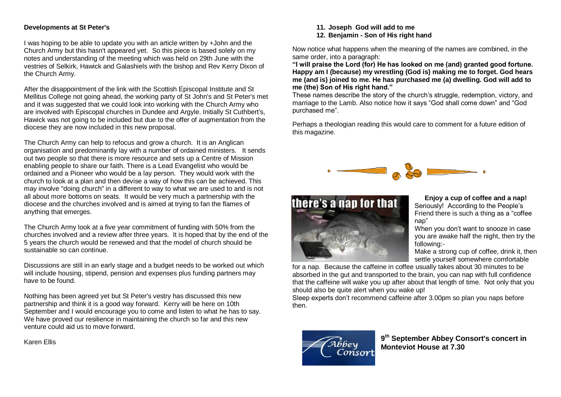#### **Developments at St Peter's**

I was hoping to be able to update you with an article written by +John and the Church Army but this hasn't appeared yet. So this piece is based solely on my notes and understanding of the meeting which was held on 29th June with the vestries of Selkirk, Hawick and Galashiels with the bishop and Rev Kerry Dixon of the Church Army.

After the disappointment of the link with the Scottish Episcopal Institute and St Mellitus College not going ahead, the working party of St John's and St Peter's met and it was suggested that we could look into working with the Church Army who are involved with Episcopal churches in Dundee and Argyle. Initially St Cuthbert's, Hawick was not going to be included but due to the offer of augmentation from the diocese they are now included in this new proposal.

The Church Army can help to refocus and grow a church. It is an Anglican organisation and predominantly lay with a number of ordained ministers. It sends out two people so that there is more resource and sets up a Centre of Mission enabling people to share our faith. There is a Lead Evangelist who would be ordained and a Pioneer who would be a lay person. They would work with the church to look at a plan and then devise a way of how this can be achieved. This may involve "doing church" in a different to way to what we are used to and is not all about more bottoms on seats. It would be very much a partnership with the diocese and the churches involved and is aimed at trying to fan the flames of anything that emerges.

The Church Army look at a five year commitment of funding with 50% from the churches involved and a review after three years. It is hoped that by the end of the 5 years the church would be renewed and that the model of church should be sustainable so can continue.

Discussions are still in an early stage and a budget needs to be worked out which will include housing, stipend, pension and expenses plus funding partners may have to be found.

Nothing has been agreed yet but St Peter's vestry has discussed this new partnership and think it is a good way forward. Kerry will be here on 10th September and I would encourage you to come and listen to what he has to say. We have proved our resilience in maintaining the church so far and this new venture could aid us to move forward.

Karen Ellis

**11. Joseph God will add to me 12. Benjamin - Son of His right hand**

Now notice what happens when the meaning of the names are combined, in the same order, into a paragraph:

**"I will praise the Lord (for) He has looked on me (and) granted good fortune. Happy am I (because) my wrestling (God is) making me to forget. God hears me (and is) joined to me. He has purchased me (a) dwelling. God will add to me (the) Son of His right hand."**

These names describe the story of the church's struggle, redemption, victory, and marriage to the Lamb. Also notice how it says "God shall come down" and "God purchased me".

Perhaps a theologian reading this would care to comment for a future edition of this magazine.





**Enjoy a cup of coffee and a nap!** Seriously! According to the People's Friend there is such a thing as a "coffee nap"

When you don't want to snooze in case you are awake half the night, then try the following:-

Make a strong cup of coffee, drink it, then settle yourself somewhere comfortable

for a nap. Because the caffeine in coffee usually takes about 30 minutes to be absorbed in the gut and transported to the brain, you can nap with full confidence that the caffeine will wake you up after about that length of time. Not only that you should also be quite alert when you wake up!

Sleep experts don't recommend caffeine after 3.00pm so plan you naps before then.



**9 th September Abbey Consort's concert in Monteviot House at 7.30**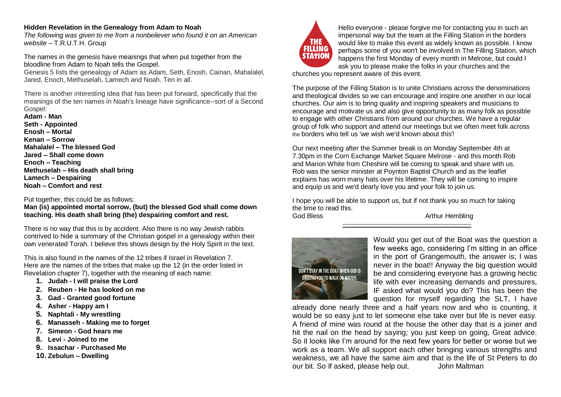### **Hidden Revelation in the Genealogy from Adam to Noah**

*The following was given to me from a nonbeliever who found it on an American website –* T.R.U.T.H. Group

The names in the genesis have meanings that when put together from the bloodline from Adam to Noah tells the Gospel.

Genesis 5 lists the genealogy of Adam as Adam, Seth, Enosh, Cainan, Mahalalel, Jared, Enoch, Methuselah, Lamech and Noah. Ten in all.

There is another interesting idea that has been put forward, specifically that the meanings of the ten names in Noah's lineage have significance--sort of a Second Gospel:

**Adam - Man Seth - Appointed Enosh – Mortal Kenan – Sorrow Mahalalel – The blessed God Jared – Shall come down Enoch – Teaching Methuselah – His death shall bring Lamech – Despairing Noah – Comfort and rest**

Put together, this could be as follows:

**Man (is) appointed mortal sorrow, (but) the blessed God shall come down teaching. His death shall bring (the) despairing comfort and rest.**

There is no way that this is by accident. Also there is no way Jewish rabbis contrived to hide a summary of the Christian gospel in a genealogy within their own venerated Torah. I believe this shows design by the Holy Spirit in the text.

This is also found in the names of the 12 tribes if Israel in Revelation 7. Here are the names of the tribes that make up the 12 (in the order listed in Revelation chapter 7), together with the meaning of each name:

- **1. Judah - I will praise the Lord**
- **2. Reuben - He has looked on me**
- **3. Gad - Granted good fortune**
- **4. Asher - Happy am I**
- **5. Naphtali - My wrestling**
- **6. Manasseh - Making me to forget**
- **7. Simeon - God hears me**
- **8. Levi - Joined to me**
- **9. Issachar - Purchased Me**
- **10. Zebulun – Dwelling**



Hello everyone - please forgive me for contacting you in such an impersonal way but the team at the Filling Station in the borders would like to make this event as widely known as possible. I know perhaps some of you won't be involved in The Filling Station, which happens the first Monday of every month in Melrose, but could I ask you to please make the folks in your churches and the

churches you represent aware of this event.

The purpose of the Filling Station is to unite Christians across the denominations and theological divides so we can encourage and inspire one another in our local churches. Our aim is to bring quality and inspiring speakers and musicians to encourage and motivate us and also give opportunity to as many folk as possible to engage with other Christians from around our churches. We have a regular group of folk who support and attend our meetings but we often meet folk across the borders who tell us 'we wish we'd known about this'!

Our next meeting after the Summer break is on Monday September 4th at 7.30pm in the Corn Exchange Market Square Melrose - and this month Rob and Marion White from Cheshire will be coming to speak and share with us. Rob was the senior minister at Poynton Baptist Church and as the leaflet explains has worn many hats over his lifetime. They will be coming to inspire and equip us and we'd dearly love you and your folk to join us.

I hope you will be able to support us, but if not thank you so much for taking the time to read this.

---------------------------------------------------------------

God Bless **Arthur Hembling** 



Would you get out of the Boat was the question a few weeks ago, considering I'm sitting in an office in the port of Grangemouth, the answer is; I was never in the boat!! Anyway the big question would be and considering everyone has a growing hectic life with ever increasing demands and pressures, IF asked what would you do? This has been the question for myself regarding the SLT, I have

already done nearly three and a half years now and who is counting, it would be so easy just to let someone else take over but life is never easy. A friend of mine was round at the house the other day that is a joiner and hit the nail on the head by saying; you just keep on going. Great advice, So it looks like I'm around for the next few years for better or worse but we work as a team. We all support each other bringing various strengths and weakness, we all have the same aim and that is the life of St Peters to do our bit. So If asked, please help out. John Maltman